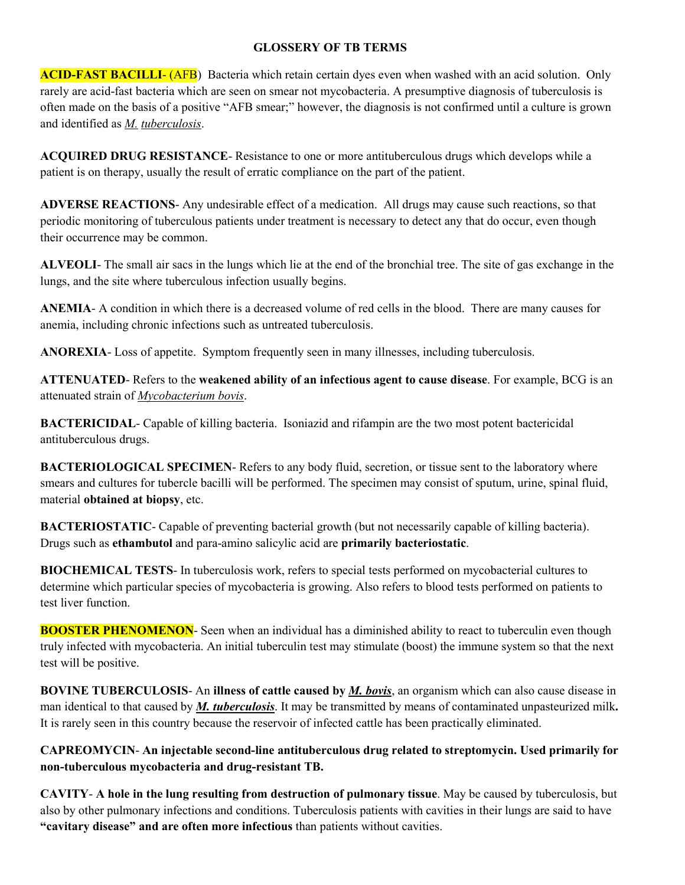## **GLOSSERY OF TB TERMS**

**ACID-FAST BACILLI- (AFB)** Bacteria which retain certain dyes even when washed with an acid solution. Only rarely are acid-fast bacteria which are seen on smear not mycobacteria. A presumptive diagnosis of tuberculosis is often made on the basis of a positive "AFB smear;" however, the diagnosis is not confirmed until a culture is grown and identified as *M. tuberculosis*.

**ACQUIRED DRUG RESISTANCE**- Resistance to one or more antituberculous drugs which develops while a patient is on therapy, usually the result of erratic compliance on the part of the patient.

**ADVERSE REACTIONS**- Any undesirable effect of a medication. All drugs may cause such reactions, so that periodic monitoring of tuberculous patients under treatment is necessary to detect any that do occur, even though their occurrence may be common.

**ALVEOLI**- The small air sacs in the lungs which lie at the end of the bronchial tree. The site of gas exchange in the lungs, and the site where tuberculous infection usually begins.

**ANEMIA**- A condition in which there is a decreased volume of red cells in the blood. There are many causes for anemia, including chronic infections such as untreated tuberculosis.

**ANOREXIA**- Loss of appetite. Symptom frequently seen in many illnesses, including tuberculosis.

**ATTENUATED**- Refers to the **weakened ability of an infectious agent to cause disease**. For example, BCG is an attenuated strain of *Mycobacterium bovis*.

**BACTERICIDAL**- Capable of killing bacteria. Isoniazid and rifampin are the two most potent bactericidal antituberculous drugs.

**BACTERIOLOGICAL SPECIMEN**- Refers to any body fluid, secretion, or tissue sent to the laboratory where smears and cultures for tubercle bacilli will be performed. The specimen may consist of sputum, urine, spinal fluid, material **obtained at biopsy**, etc.

**BACTERIOSTATIC**- Capable of preventing bacterial growth (but not necessarily capable of killing bacteria). Drugs such as **ethambutol** and para-amino salicylic acid are **primarily bacteriostatic**.

**BIOCHEMICAL TESTS**- In tuberculosis work, refers to special tests performed on mycobacterial cultures to determine which particular species of mycobacteria is growing. Also refers to blood tests performed on patients to test liver function.

**BOOSTER PHENOMENON**- Seen when an individual has a diminished ability to react to tuberculin even though truly infected with mycobacteria. An initial tuberculin test may stimulate (boost) the immune system so that the next test will be positive.

**BOVINE TUBERCULOSIS**- An **illness of cattle caused by** *M. bovis*, an organism which can also cause disease in man identical to that caused by *M. tuberculosis*. It may be transmitted by means of contaminated unpasteurized milk**.** It is rarely seen in this country because the reservoir of infected cattle has been practically eliminated.

**CAPREOMYCIN**- **An injectable second-line antituberculous drug related to streptomycin. Used primarily for non-tuberculous mycobacteria and drug-resistant TB.**

**CAVITY**- **A hole in the lung resulting from destruction of pulmonary tissue**. May be caused by tuberculosis, but also by other pulmonary infections and conditions. Tuberculosis patients with cavities in their lungs are said to have **"cavitary disease" and are often more infectious** than patients without cavities.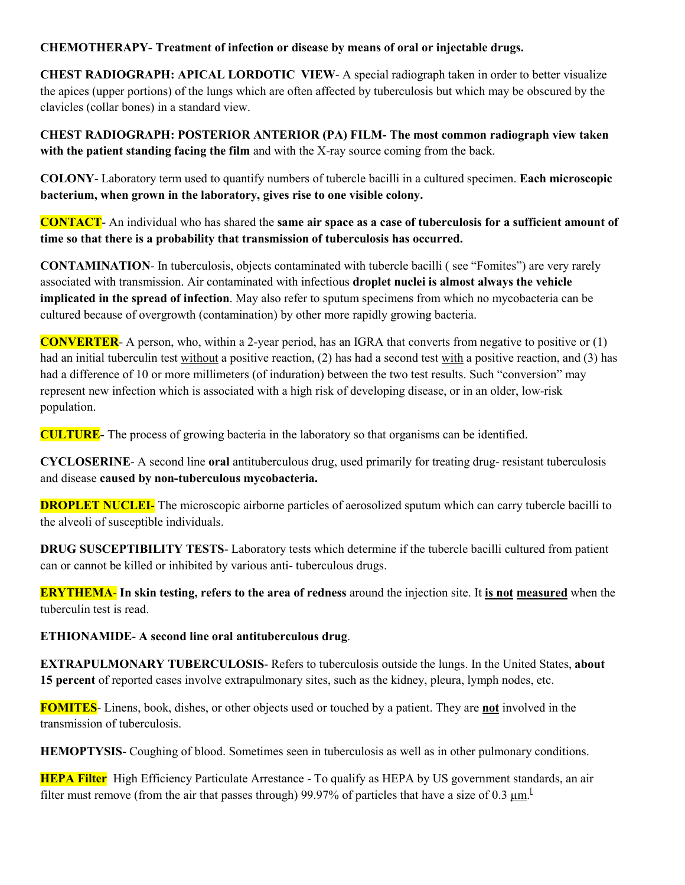## **CHEMOTHERAPY- Treatment of infection or disease by means of oral or injectable drugs.**

**CHEST RADIOGRAPH: APICAL LORDOTIC VIEW**- A special radiograph taken in order to better visualize the apices (upper portions) of the lungs which are often affected by tuberculosis but which may be obscured by the clavicles (collar bones) in a standard view.

**CHEST RADIOGRAPH: POSTERIOR ANTERIOR (PA) FILM- The most common radiograph view taken with the patient standing facing the film** and with the X-ray source coming from the back.

**COLONY**- Laboratory term used to quantify numbers of tubercle bacilli in a cultured specimen. **Each microscopic bacterium, when grown in the laboratory, gives rise to one visible colony.** 

**CONTACT**- An individual who has shared the **same air space as a case of tuberculosis for a sufficient amount of time so that there is a probability that transmission of tuberculosis has occurred.** 

**CONTAMINATION**- In tuberculosis, objects contaminated with tubercle bacilli ( see "Fomites") are very rarely associated with transmission. Air contaminated with infectious **droplet nuclei is almost always the vehicle implicated in the spread of infection**. May also refer to sputum specimens from which no mycobacteria can be cultured because of overgrowth (contamination) by other more rapidly growing bacteria.

**CONVERTER**- A person, who, within a 2-year period, has an IGRA that converts from negative to positive or (1) had an initial tuberculin test without a positive reaction, (2) has had a second test with a positive reaction, and (3) has had a difference of 10 or more millimeters (of induration) between the two test results. Such "conversion" may represent new infection which is associated with a high risk of developing disease, or in an older, low-risk population.

**CULTURE-** The process of growing bacteria in the laboratory so that organisms can be identified.

**CYCLOSERINE**- A second line **oral** antituberculous drug, used primarily for treating drug- resistant tuberculosis and disease **caused by non-tuberculous mycobacteria.** 

**DROPLET NUCLEI-** The microscopic airborne particles of aerosolized sputum which can carry tubercle bacilli to the alveoli of susceptible individuals.

**DRUG SUSCEPTIBILITY TESTS**- Laboratory tests which determine if the tubercle bacilli cultured from patient can or cannot be killed or inhibited by various anti- tuberculous drugs.

**ERYTHEMA**- **In skin testing, refers to the area of redness** around the injection site. It **is not measured** when the tuberculin test is read.

## **ETHIONAMIDE**- **A second line oral antituberculous drug**.

**EXTRAPULMONARY TUBERCULOSIS**- Refers to tuberculosis outside the lungs. In the United States, **about 15 percent** of reported cases involve extrapulmonary sites, such as the kidney, pleura, lymph nodes, etc.

**FOMITES**- Linens, book, dishes, or other objects used or touched by a patient. They are **not** involved in the transmission of tuberculosis.

**HEMOPTYSIS**- Coughing of blood. Sometimes seen in tuberculosis as well as in other pulmonary conditions.

**HEPA Filter** High Efficiency Particulate Arrestance - To qualify as HEPA by US government standards, an air filter must remove (from the air that passes through) 99.97% of particles that have a size of 0.3  $\mu$ m.<sup>[1]</sup>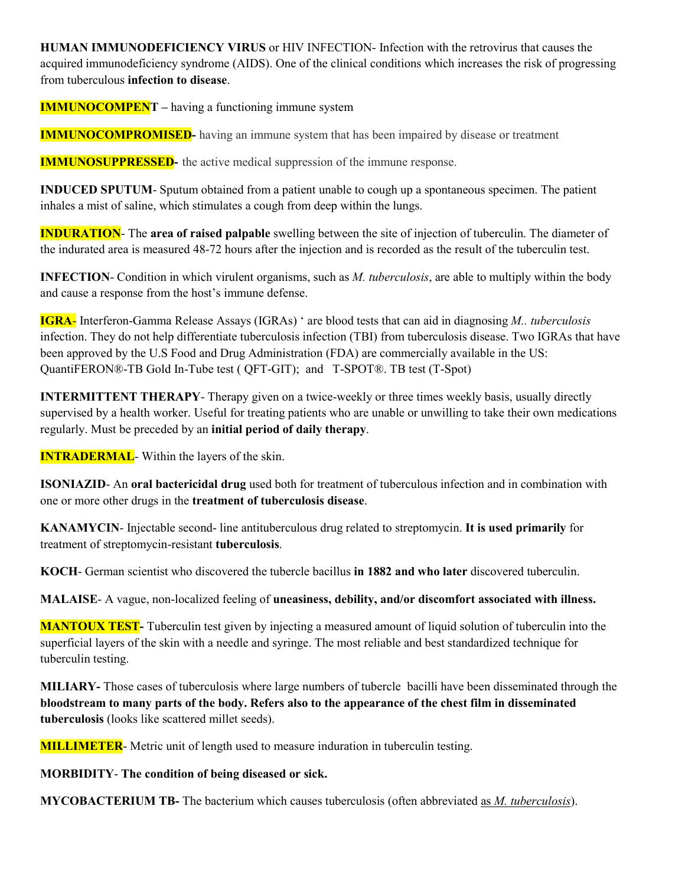**HUMAN IMMUNODEFICIENCY VIRUS** or HIV INFECTION- Infection with the retrovirus that causes the acquired immunodeficiency syndrome (AIDS). One of the clinical conditions which increases the risk of progressing from tuberculous **infection to disease**.

**IMMUNOCOMPENT** – having a functioning immune system

**IMMUNOCOMPROMISED**- having an immune system that has been impaired by disease or treatment

**IMMUNOSUPPRESSED**- the active medical suppression of the immune response.

**INDUCED SPUTUM**- Sputum obtained from a patient unable to cough up a spontaneous specimen. The patient inhales a mist of saline, which stimulates a cough from deep within the lungs.

**INDURATION**- The **area of raised palpable** swelling between the site of injection of tuberculin. The diameter of the indurated area is measured 48-72 hours after the injection and is recorded as the result of the tuberculin test.

**INFECTION**- Condition in which virulent organisms, such as *M. tuberculosis*, are able to multiply within the body and cause a response from the host's immune defense.

**IGRA**- Interferon-Gamma Release Assays (IGRAs) ' are blood tests that can aid in diagnosing *M.. tuberculosis* infection. They do not help differentiate tuberculosis infection (TBI) from tuberculosis disease. Two IGRAs that have been approved by the U.S Food and Drug Administration (FDA) are commercially available in the US: QuantiFERON®-TB Gold In-Tube test ( QFT-GIT); and T-SPOT®. TB test (T-Spot)

**INTERMITTENT THERAPY**- Therapy given on a twice-weekly or three times weekly basis, usually directly supervised by a health worker. Useful for treating patients who are unable or unwilling to take their own medications regularly. Must be preceded by an **initial period of daily therapy**.

**INTRADERMAL**- Within the layers of the skin.

**ISONIAZID**- An **oral bactericidal drug** used both for treatment of tuberculous infection and in combination with one or more other drugs in the **treatment of tuberculosis disease**.

**KANAMYCIN**- Injectable second- line antituberculous drug related to streptomycin. **It is used primarily** for treatment of streptomycin-resistant **tuberculosis**.

**KOCH**- German scientist who discovered the tubercle bacillus **in 1882 and who later** discovered tuberculin.

**MALAISE**- A vague, non-localized feeling of **uneasiness, debility, and/or discomfort associated with illness.** 

**MANTOUX TEST-** Tuberculin test given by injecting a measured amount of liquid solution of tuberculin into the superficial layers of the skin with a needle and syringe. The most reliable and best standardized technique for tuberculin testing.

**MILIARY-** Those cases of tuberculosis where large numbers of tubercle bacilli have been disseminated through the **bloodstream to many parts of the body. Refers also to the appearance of the chest film in disseminated tuberculosis** (looks like scattered millet seeds).

**MILLIMETER**- Metric unit of length used to measure induration in tuberculin testing.

**MORBIDITY**- **The condition of being diseased or sick.** 

**MYCOBACTERIUM TB-** The bacterium which causes tuberculosis (often abbreviated as *M. tuberculosis*).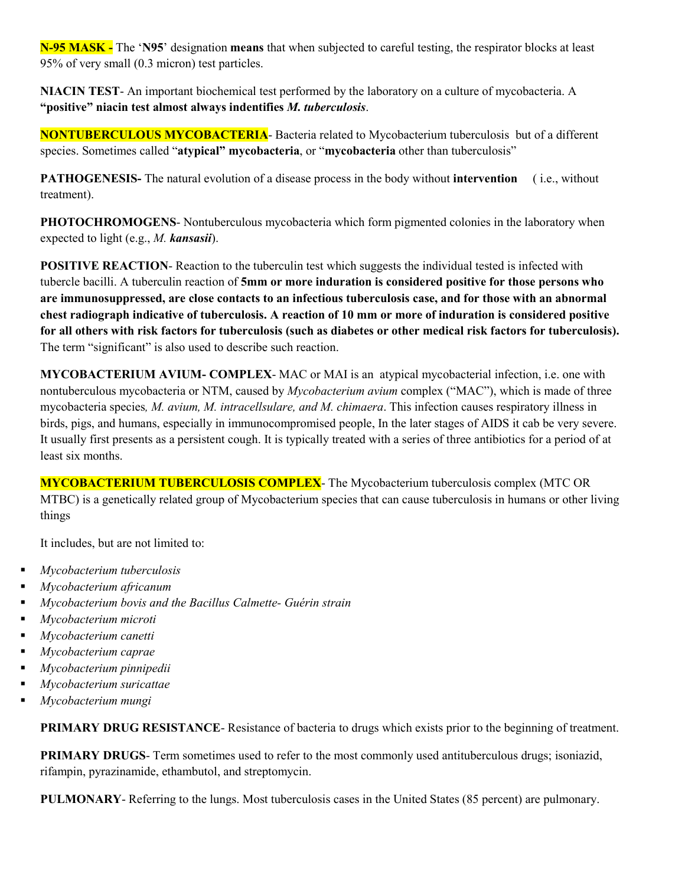**N-95 MASK -** The '**N95**' designation **means** that when subjected to careful testing, the respirator blocks at least 95% of very small (0.3 micron) test particles.

**NIACIN TEST**- An important biochemical test performed by the laboratory on a culture of mycobacteria. A **"positive" niacin test almost always indentifies** *M. tuberculosis*.

**NONTUBERCULOUS MYCOBACTERIA**- Bacteria related to Mycobacterium tuberculosis but of a different species. Sometimes called "**atypical" mycobacteria**, or "**mycobacteria** other than tuberculosis"

**PATHOGENESIS-** The natural evolution of a disease process in the body without **intervention** ( i.e., without treatment).

**PHOTOCHROMOGENS**- Nontuberculous mycobacteria which form pigmented colonies in the laboratory when expected to light (e.g., *M. kansasii*).

**POSITIVE REACTION-** Reaction to the tuberculin test which suggests the individual tested is infected with tubercle bacilli. A tuberculin reaction of **5mm or more induration is considered positive for those persons who are immunosuppressed, are close contacts to an infectious tuberculosis case, and for those with an abnormal chest radiograph indicative of tuberculosis. A reaction of 10 mm or more of induration is considered positive for all others with risk factors for tuberculosis (such as diabetes or other medical risk factors for tuberculosis).**  The term "significant" is also used to describe such reaction.

**MYCOBACTERIUM AVIUM- COMPLEX**- MAC or MAI is an atypical mycobacterial infection, i.e. one with nontuberculous mycobacteria or NTM, caused by *Mycobacterium avium* complex ("MAC"), which is made of three mycobacteria species*, M. avium, M. intracellsulare, and M. chimaera*. This infection causes respiratory illness in birds, pigs, and humans, especially in immunocompromised people, In the later stages of AIDS it cab be very severe. It usually first presents as a persistent cough. It is typically treated with a series of three antibiotics for a period of at least six months.

**MYCOBACTERIUM TUBERCULOSIS COMPLEX**- The Mycobacterium tuberculosis complex (MTC OR MTBC) is a genetically related group of Mycobacterium species that can cause tuberculosis in humans or other living things

It includes, but are not limited to:

- *Mycobacterium tuberculosis*
- *Mycobacterium africanum*
- *Mycobacterium bovis and the Bacillus Calmette- Guérin strain*
- *Mycobacterium microti*
- *Mycobacterium canetti*
- *Mycobacterium caprae*
- *Mycobacterium pinnipedii*
- *Mycobacterium suricattae*
- *Mycobacterium mungi*

**PRIMARY DRUG RESISTANCE**- Resistance of bacteria to drugs which exists prior to the beginning of treatment.

**PRIMARY DRUGS-** Term sometimes used to refer to the most commonly used antituberculous drugs; isoniazid, rifampin, pyrazinamide, ethambutol, and streptomycin.

**PULMONARY**- Referring to the lungs. Most tuberculosis cases in the United States (85 percent) are pulmonary.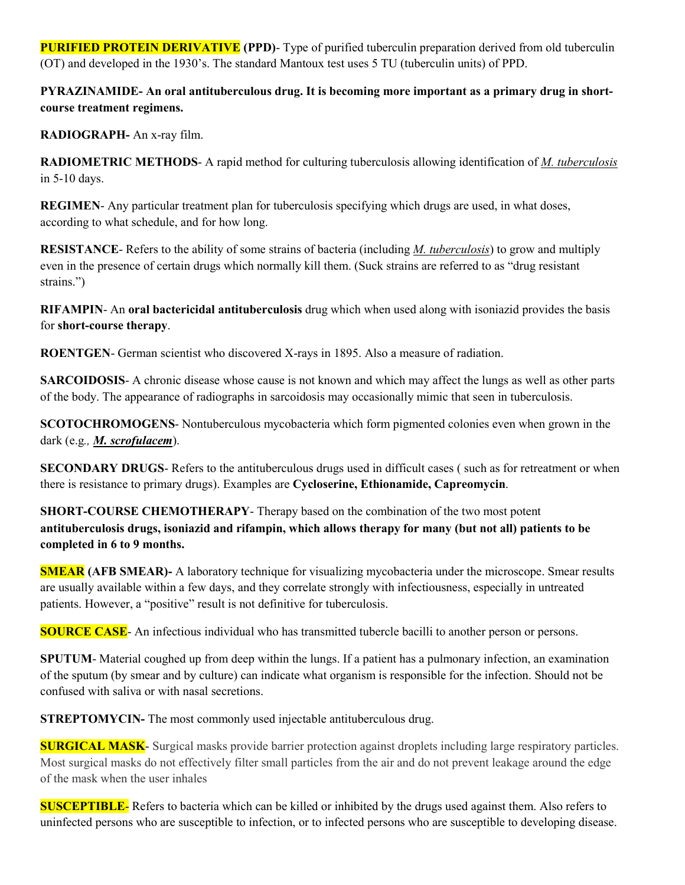**PURIFIED PROTEIN DERIVATIVE** (PPD)- Type of purified tuberculin preparation derived from old tuberculin (OT) and developed in the 1930's. The standard Mantoux test uses 5 TU (tuberculin units) of PPD.

**PYRAZINAMIDE- An oral antituberculous drug. It is becoming more important as a primary drug in shortcourse treatment regimens.** 

**RADIOGRAPH-** An x-ray film.

**RADIOMETRIC METHODS**- A rapid method for culturing tuberculosis allowing identification of *M. tuberculosis* in 5-10 days.

**REGIMEN**- Any particular treatment plan for tuberculosis specifying which drugs are used, in what doses, according to what schedule, and for how long.

**RESISTANCE**- Refers to the ability of some strains of bacteria (including *M. tuberculosis*) to grow and multiply even in the presence of certain drugs which normally kill them. (Suck strains are referred to as "drug resistant strains.")

**RIFAMPIN**- An **oral bactericidal antituberculosis** drug which when used along with isoniazid provides the basis for **short-course therapy**.

**ROENTGEN**- German scientist who discovered X-rays in 1895. Also a measure of radiation.

**SARCOIDOSIS-** A chronic disease whose cause is not known and which may affect the lungs as well as other parts of the body. The appearance of radiographs in sarcoidosis may occasionally mimic that seen in tuberculosis.

**SCOTOCHROMOGENS**- Nontuberculous mycobacteria which form pigmented colonies even when grown in the dark (e.g*., M. scrofulacem*).

**SECONDARY DRUGS**- Refers to the antituberculous drugs used in difficult cases (such as for retreatment or when there is resistance to primary drugs). Examples are **Cycloserine, Ethionamide, Capreomycin**.

**SHORT-COURSE CHEMOTHERAPY**- Therapy based on the combination of the two most potent **antituberculosis drugs, isoniazid and rifampin, which allows therapy for many (but not all) patients to be completed in 6 to 9 months.** 

**SMEAR (AFB SMEAR)-** A laboratory technique for visualizing mycobacteria under the microscope. Smear results are usually available within a few days, and they correlate strongly with infectiousness, especially in untreated patients. However, a "positive" result is not definitive for tuberculosis.

**SOURCE CASE**- An infectious individual who has transmitted tubercle bacilli to another person or persons.

**SPUTUM**- Material coughed up from deep within the lungs. If a patient has a pulmonary infection, an examination of the sputum (by smear and by culture) can indicate what organism is responsible for the infection. Should not be confused with saliva or with nasal secretions.

**STREPTOMYCIN-** The most commonly used injectable antituberculous drug.

**SURGICAL MASK**- Surgical masks provide barrier protection against droplets including large respiratory particles. Most surgical masks do not effectively filter small particles from the air and do not prevent leakage around the edge of the mask when the user inhales

**SUSCEPTIBLE**- Refers to bacteria which can be killed or inhibited by the drugs used against them. Also refers to uninfected persons who are susceptible to infection, or to infected persons who are susceptible to developing disease.